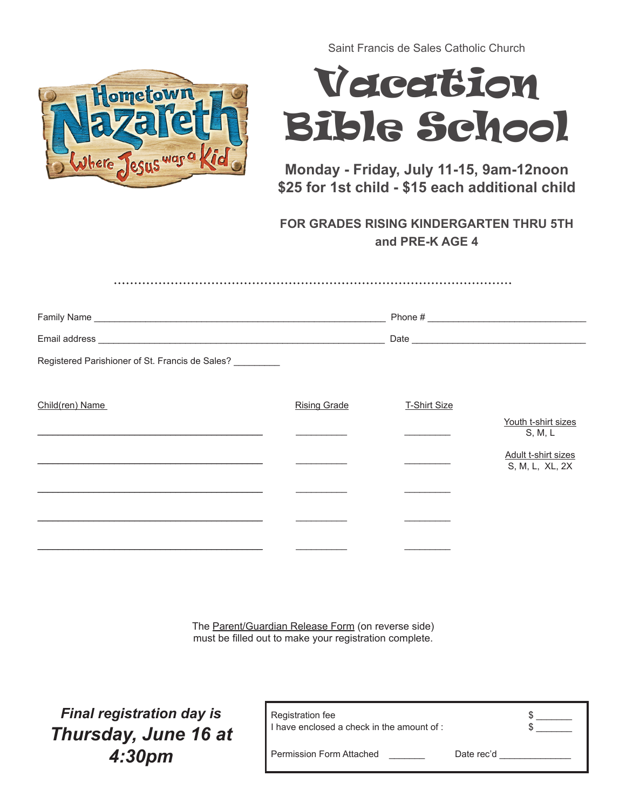

Saint Francis de Sales Catholic Church

## Vacation Bible School

**Monday - Friday, July 11-15, 9am-12noon \$25 for 1st child - \$15 each additional child**

**FOR GRADES RISING KINDERGARTEN THRU 5TH and PRE-K AGE 4** 

| Registered Parishioner of St. Francis de Sales? |                     |                     |                                        |
|-------------------------------------------------|---------------------|---------------------|----------------------------------------|
|                                                 |                     |                     |                                        |
| Child(ren) Name                                 | <b>Rising Grade</b> | <b>T-Shirt Size</b> |                                        |
|                                                 |                     |                     | Youth t-shirt sizes<br>S, M, L         |
|                                                 |                     |                     | Adult t-shirt sizes<br>S, M, L, XL, 2X |
|                                                 |                     |                     |                                        |
|                                                 |                     |                     |                                        |
|                                                 |                     |                     |                                        |

The Parent/Guardian Release Form (on reverse side) must be filled out to make your registration complete.

*Final registration day is Thursday, June 16 at 4:30pm* 

| Registration fee<br>I have enclosed a check in the amount of : |            |  |
|----------------------------------------------------------------|------------|--|
| Permission Form Attached                                       | Date rec'd |  |